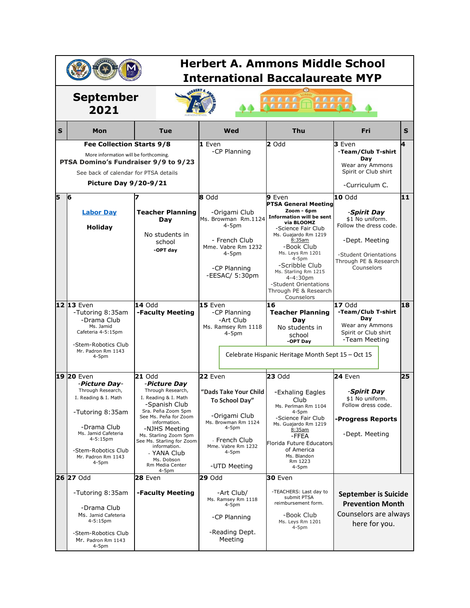| <b>Herbert A. Ammons Middle School</b><br><b>International Baccalaureate MYP</b>                                                                                                    |                                                                                                                                                                                                      |                                                                                                                                                                                                                                                                                                              |                                                                                                                                                                         |                                                                                                                                                                                                                                                                                                                                 |                                                                                                                                                             |    |
|-------------------------------------------------------------------------------------------------------------------------------------------------------------------------------------|------------------------------------------------------------------------------------------------------------------------------------------------------------------------------------------------------|--------------------------------------------------------------------------------------------------------------------------------------------------------------------------------------------------------------------------------------------------------------------------------------------------------------|-------------------------------------------------------------------------------------------------------------------------------------------------------------------------|---------------------------------------------------------------------------------------------------------------------------------------------------------------------------------------------------------------------------------------------------------------------------------------------------------------------------------|-------------------------------------------------------------------------------------------------------------------------------------------------------------|----|
| <b>September</b><br>2021                                                                                                                                                            |                                                                                                                                                                                                      |                                                                                                                                                                                                                                                                                                              | <b><i>BBBBB</i></b><br><b>ARRAC</b><br><b><i>BBBB</i></b><br><b>BALAR</b>                                                                                               |                                                                                                                                                                                                                                                                                                                                 |                                                                                                                                                             |    |
| S                                                                                                                                                                                   | Mon                                                                                                                                                                                                  | Tue                                                                                                                                                                                                                                                                                                          | Wed                                                                                                                                                                     | <b>Thu</b>                                                                                                                                                                                                                                                                                                                      | Fri                                                                                                                                                         | S  |
| Fee Collection Starts 9/8<br>More information will be forthcoming.<br>PTSA Domino's Fundraiser 9/9 to 9/23<br>See back of calendar for PTSA details<br><b>Picture Day 9/20-9/21</b> |                                                                                                                                                                                                      |                                                                                                                                                                                                                                                                                                              | 1 Even<br>-CP Planning                                                                                                                                                  | 2 Odd                                                                                                                                                                                                                                                                                                                           | 3 Even<br>-Team/Club T-shirt<br>Day<br>Wear any Ammons<br>Spirit or Club shirt<br>-Curriculum C.                                                            |    |
| 5                                                                                                                                                                                   | 6<br><b>Labor Day</b><br>Holiday                                                                                                                                                                     | <b>Teacher Planning</b><br>Day<br>No students in<br>school<br>-OPT day                                                                                                                                                                                                                                       | 8 Odd<br>-Origami Club<br>Ms. Browman Rm.1124<br>$4-5pm$<br>- French Club<br>Mme. Vabre Rm 1232<br>$4-5pm$<br>-CP Planning<br>-EESAC/ 5:30pm                            | 9 Even<br><b>PTSA General Meeting</b><br>Zoom - 6pm<br><b>Information will be sent</b><br>via BLOOMZ<br>-Science Fair Club<br>Ms. Guajardo Rm 1219<br>8:35am<br>-Book Club<br>Ms. Leys Rm 1201<br>$4-5pm$<br>-Scribble Club<br>Ms. Starling Rm 1215<br>4-4:30pm<br>-Student Orientations<br>Through PE & Research<br>Counselors | <b>10</b> Odd<br>-Spirit Day<br>\$1 No uniform.<br>Follow the dress code.<br>-Dept. Meeting<br>-Student Orientations<br>Through PE & Research<br>Counselors | 11 |
|                                                                                                                                                                                     | 12 13 Even<br>-Tutoring 8:35am<br>-Drama Club<br>Ms. Jamid<br>Cafeteria 4-5:15pm<br>-Stem-Robotics Club<br>Mr. Padron Rm 1143<br>4-5pm                                                               | 14 Odd<br>-Faculty Meeting                                                                                                                                                                                                                                                                                   | 15 Even<br>-CP Planning<br>-Art Club<br>Ms. Ramsey Rm 1118<br>4-5pm                                                                                                     | 16<br><b>Teacher Planning</b><br>Day<br>No students in<br>school<br>-OPT Day<br>Celebrate Hispanic Heritage Month Sept 15 - Oct 15                                                                                                                                                                                              | $17$ Odd<br>-Team/Club T-shirt<br>Day<br>Wear any Ammons<br>Spirit or Club shirt<br>-Team Meeting                                                           | 18 |
|                                                                                                                                                                                     | 19 20 Even<br>-Picture Day-<br>Through Research,<br>I. Reading & I. Math<br>-Tutoring 8:35am<br>-Drama Club<br>Ms. Jamid Cafeteria<br>4-5:15pm<br>-Stem-Robotics Club<br>Mr. Padron Rm 1143<br>4-5pm | <b>21</b> Odd<br>-Picture Day<br>Through Research,<br>I. Reading & I. Math<br>-Spanish Club<br>Sra. Peña Zoom 5pm<br>See Ms. Peňa for Zoom<br>information.<br>-NJHS Meeting<br>Ms. Starling Zoom 5pm<br>See Ms. Starling for Zoom<br>information.<br>- YANA Club<br>Ms. Dobson<br>Rm Media Center<br>$4-5pm$ | 22 Even<br>"Dads Take Your Child<br>To School Day"<br>-Origami Club<br>Ms. Browman Rm 1124<br>$4-5pm$<br>- French Club<br>Mme. Vabre Rm 1232<br>$4-5pm$<br>-UTD Meeting | <b>23 Odd</b><br>-Exhaling Eagles<br>Club<br>Ms. Perlman Rm 1104<br>$4-5pm$<br>-Science Fair Club<br>Ms. Guajardo Rm 1219<br>8:35am<br>-FFEA<br>Florida Future Educators<br>of America<br>Ms. Blandon<br>Rm 1223<br>$4-5pm$                                                                                                     | 24 Even<br>-Spirit Day<br>\$1 NO UNITORM.<br>Follow dress code.<br>-Progress Reports<br>-Dept. Meeting                                                      | 25 |
|                                                                                                                                                                                     | 26 27 Odd<br>-Tutoring 8:35am<br>-Drama Club<br>Ms. Jamid Cafeteria<br>4-5:15pm<br>-Stem-Robotics Club<br>Mr. Padron Rm 1143<br>4-5pm                                                                | <b>28 Even</b><br>-Faculty Meeting                                                                                                                                                                                                                                                                           | <b>29 Odd</b><br>-Art Club/<br>Ms. Ramsey Rm 1118<br>$4-5pm$<br>-CP Planning<br>-Reading Dept.<br>Meeting                                                               | 30 Even<br>-TEACHERS: Last day to<br>submit PTSA<br>reimbursement form.<br>-Book Club<br>Ms. Leys Rm 1201<br>$4-5pm$                                                                                                                                                                                                            | <b>September is Suicide</b><br><b>Prevention Month</b><br>Counselors are always<br>here for you.                                                            |    |